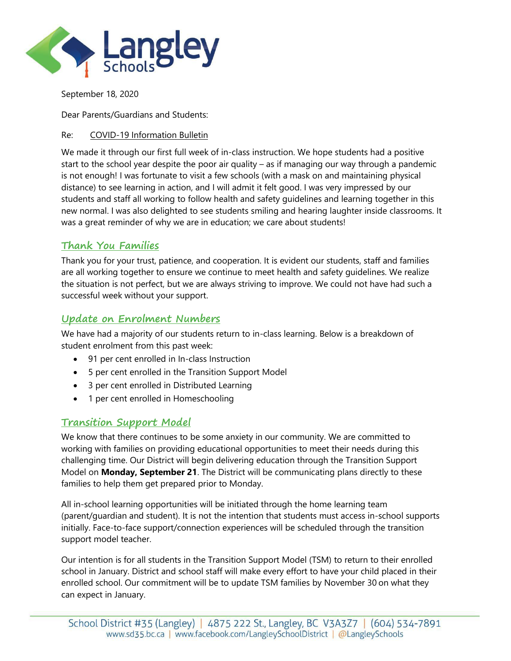

September 18, 2020

Dear Parents/Guardians and Students:

Re: COVID-19 Information Bulletin

We made it through our first full week of in-class instruction. We hope students had a positive start to the school year despite the poor air quality – as if managing our way through a pandemic is not enough! I was fortunate to visit a few schools (with a mask on and maintaining physical distance) to see learning in action, and I will admit it felt good. I was very impressed by our students and staff all working to follow health and safety guidelines and learning together in this new normal. I was also delighted to see students smiling and hearing laughter inside classrooms. It was a great reminder of why we are in education; we care about students!

## **Thank You Families**

Thank you for your trust, patience, and cooperation. It is evident our students, staff and families are all working together to ensure we continue to meet health and safety guidelines. We realize the situation is not perfect, but we are always striving to improve. We could not have had such a successful week without your support.

## **Update on Enrolment Numbers**

We have had a majority of our students return to in-class learning. Below is a breakdown of student enrolment from this past week:

- 91 per cent enrolled in In-class Instruction
- 5 per cent enrolled in the Transition Support Model
- 3 per cent enrolled in Distributed Learning
- 1 per cent enrolled in Homeschooling

## **Transition Support Model**

We know that there continues to be some anxiety in our community. We are committed to working with families on providing educational opportunities to meet their needs during this challenging time. Our District will begin delivering education through the Transition Support Model on **Monday, September 21**. The District will be communicating plans directly to these families to help them get prepared prior to Monday.

All in-school learning opportunities will be initiated through the home learning team (parent/guardian and student). It is not the intention that students must access in-school supports initially. Face-to-face support/connection experiences will be scheduled through the transition support model teacher.

Our intention is for all students in the Transition Support Model (TSM) to return to their enrolled school in January. District and school staff will make every effort to have your child placed in their enrolled school. Our commitment will be to update TSM families by November 30 on what they can expect in January.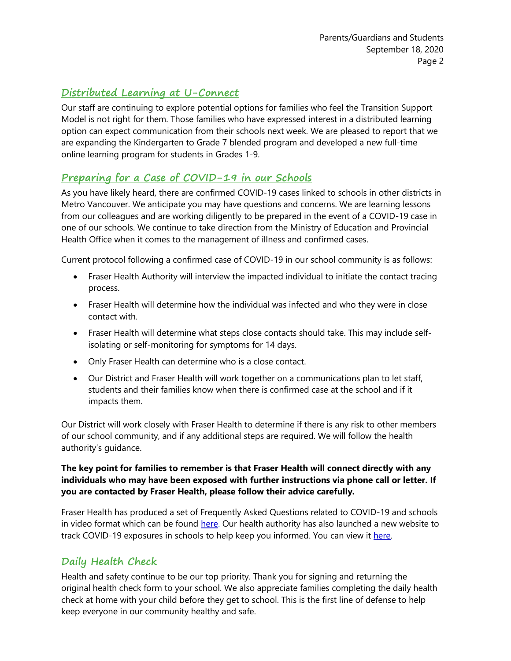# **Distributed Learning at U-Connect**

Our staff are continuing to explore potential options for families who feel the Transition Support Model is not right for them. Those families who have expressed interest in a distributed learning option can expect communication from their schools next week. We are pleased to report that we are expanding the Kindergarten to Grade 7 blended program and developed a new full-time online learning program for students in Grades 1-9.

## **Preparing for a Case of COVID-19 in our Schools**

As you have likely heard, there are confirmed COVID-19 cases linked to schools in other districts in Metro Vancouver. We anticipate you may have questions and concerns. We are learning lessons from our colleagues and are working diligently to be prepared in the event of a COVID-19 case in one of our schools. We continue to take direction from the Ministry of Education and Provincial Health Office when it comes to the management of illness and confirmed cases.

Current protocol following a confirmed case of COVID-19 in our school community is as follows:

- Fraser Health Authority will interview the impacted individual to initiate the contact tracing process.
- Fraser Health will determine how the individual was infected and who they were in close contact with.
- Fraser Health will determine what steps close contacts should take. This may include selfisolating or self-monitoring for symptoms for 14 days.
- Only Fraser Health can determine who is a close contact.
- Our District and Fraser Health will work together on a communications plan to let staff, students and their families know when there is confirmed case at the school and if it impacts them.

Our District will work closely with Fraser Health to determine if there is any risk to other members of our school community, and if any additional steps are required. We will follow the health authority's guidance.

#### **The key point for families to remember is that Fraser Health will connect directly with any individuals who may have been exposed with further instructions via phone call or letter. If you are contacted by Fraser Health, please follow their advice carefully.**

Fraser Health has produced a set of Frequently Asked Questions related to COVID-19 and schools in video format which can be found [here.](https://www.fraserhealth.ca/health-topics-a-to-z/coronavirus/back-to-school-resources-for-parents-and-teachers/back-to-school-covid-19-video-questions-and-answers#.X2OiPJNKiUk) Our health authority has also launched a new website to track COVID-19 exposures in schools to help keep you informed. You can view it [here.](https://www.fraserhealth.ca/health-topics-a-to-z/coronavirus/school-notifications#.X2OOSZNKiUn)

## **Daily Health Check**

Health and safety continue to be our top priority. Thank you for signing and returning the original health check form to your school. We also appreciate families completing the daily health check at home with your child before they get to school. This is the first line of defense to help keep everyone in our community healthy and safe.